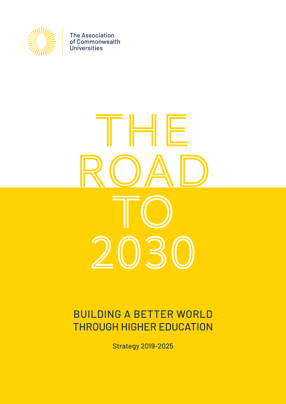

**The Association** of Commonwealth **Universities** 

# the road TO 2030

# BUILDING A BETTER WORLD THROUGH HIGHER EDUCATION

Strategy 2019-2025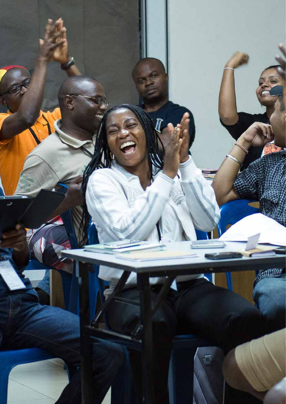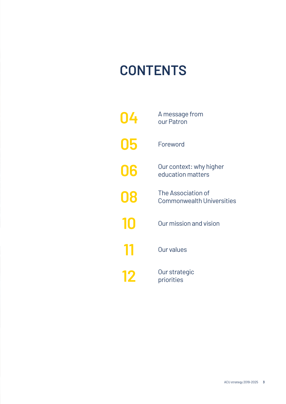# **CONTENTS**

| 4  | A message from<br>our Patron                    |
|----|-------------------------------------------------|
| 05 | Foreword                                        |
| 06 | Our context: why higher<br>education matters    |
| 08 | The Association of<br>Commonwealth Universities |
| 10 | Our mission and vision                          |
| 11 | Our values                                      |
|    | Our strategic<br>priorities                     |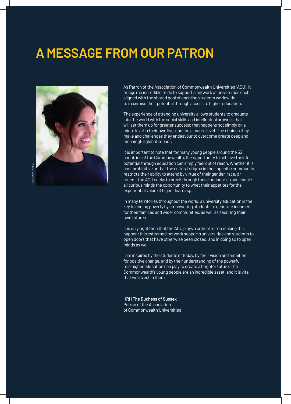# **A MESSAGE FROM OUR PATRON**



As Patron of the Association of Commonwealth Universities (ACU), it brings me incredible pride to support a network of universities each aligned with the shared goal of enabling students worldwide to maximise their potential through access to higher education.

The experience of attending university allows students to graduate into the world with the social skills and intellectual prowess that will set them up for greater success; that happens not simply on a micro level in their own lives, but on a macro level. The choices they make and challenges they endeavour to overcome create deep and meaningful global impact.

It is important to note that for many young people around the 53 countries of the Commonwealth, the opportunity to achieve their full potential through education can simply feel out of reach. Whether it is cost prohibitive or that the cultural stigma in their specific community restricts their ability to attend by virtue of their gender, race, or creed – the ACU seeks to break through these boundaries and enable all curious minds the opportunity to whet their appetites for the experiential value of higher learning.

In many territories throughout the world, a university education is the key to ending poverty by empowering students to generate incomes for their families and wider communities, as well as securing their own futures.

It is only right then that the ACU plays a critical role in making this happen; this esteemed network supports universities and students to open doors that have otherwise been closed, and in doing so to open minds as well.

I am inspired by the students of today, by their vision and ambition for positive change, and by their understanding of the powerful role higher education can play to create a brighter future. The Commonwealth's young people are an incredible asset, and it is vital that we invest in them.

**HRH The Duchess of Sussex** Patron of the Association of Commonwealth Universities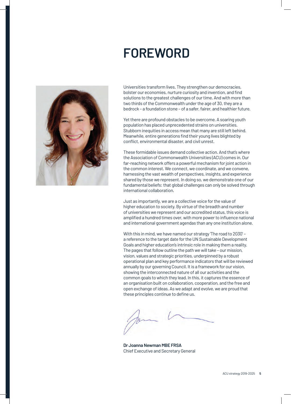# **FOREWORD**



Universities transform lives. They strengthen our democracies, bolster our economies, nurture curiosity and invention, and find solutions to the greatest challenges of our time. And with more than two thirds of the Commonwealth under the age of 30, they are a bedrock – a foundation stone – of a safer, fairer, and healthier future.

Yet there are profound obstacles to be overcome. A soaring youth population has placed unprecedented strains on universities. Stubborn inequities in access mean that many are still left behind. Meanwhile, entire generations find their young lives blighted by conflict, environmental disaster, and civil unrest.

These formidable issues demand collective action. And that's where the Association of Commonwealth Universities (ACU) comes in. Our far-reaching network offers a powerful mechanism for joint action in the common interest. We connect, we coordinate, and we convene, harnessing the vast wealth of perspectives, insights, and experience shared by those we represent. In doing so, we demonstrate one of our fundamental beliefs: that global challenges can only be solved through international collaboration.

Just as importantly, we are a collective voice for the value of higher education to society. By virtue of the breadth and number of universities we represent and our accredited status, this voice is amplified a hundred times over, with more power to influence national and international government agendas than any one institution alone.

With this in mind, we have named our strategy 'The road to 2030' a reference to the target date for the UN Sustainable Development Goals and higher education's intrinsic role in making them a reality. The pages that follow outline the path we will take – our mission, vision, values and strategic priorities, underpinned by a robust operational plan and key performance indicators that will be reviewed annually by our governing Council. It is a framework for our vision, showing the interconnected nature of all our activities and the common goals to which they lead. In this, it captures the essence of an organisation built on collaboration, cooperation, and the free and open exchange of ideas. As we adapt and evolve, we are proud that these principles continue to define us.

**Dr Joanna Newman MBE FRSA** Chief Executive and Secretary General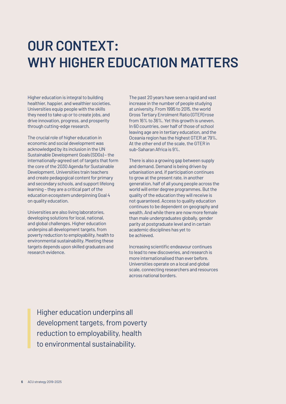# **OUR CONTEXT: WHY HIGHER EDUCATION MATTERS**

Higher education is integral to building healthier, happier, and wealthier societies. Universities equip people with the skills they need to take up or to create jobs, and drive innovation, progress, and prosperity through cutting-edge research.

The crucial role of higher education in economic and social development was acknowledged by its inclusion in the UN Sustainable Development Goals (SDGs) – the internationally-agreed set of targets that form the core of the 2030 Agenda for Sustainable Development. Universities train teachers and create pedagogical content for primary and secondary schools, and support lifelong learning – they are a critical part of the education ecosystem underpinning Goal 4 on quality education.

Universities are also living laboratories, developing solutions for local, national, and global challenges. Higher education underpins all development targets, from poverty reduction to employability, health to environmental sustainability. Meeting these targets depends upon skilled graduates and research evidence.

The past 20 years have seen a rapid and vast increase in the number of people studying at university. From 1995 to 2015, the world Gross Tertiary Enrolment Ratio (GTER) rose from 16% to 36%. Yet this growth is uneven. In 60 countries, over half of those of school leaving age are in tertiary education, and the Oceania region has the highest GTER at 79%. At the other end of the scale, the GTER in sub-Saharan Africa is 9%.

There is also a growing gap between supply and demand. Demand is being driven by urbanisation and, if participation continues to grow at the present rate, in another generation, half of all young people across the world will enter degree programmes. But the quality of the education they will receive is not guaranteed. Access to quality education continues to be dependent on geography and wealth. And while there are now more female than male undergraduates globally, gender parity at postgraduate level and in certain academic disciplines has yet to be achieved.

Increasing scientific endeavour continues to lead to new discoveries, and research is more internationalised than ever before. Universities operate on a local and global scale, connecting researchers and resources across national borders.

Higher education underpins all development targets, from poverty reduction to employability, health to environmental sustainability.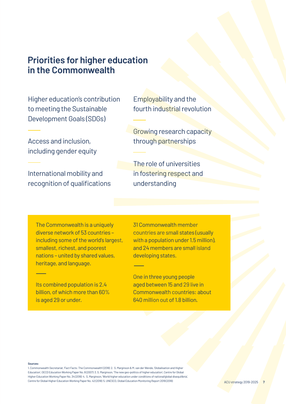### **Priorities for higher education in the Commonwealth**

Higher education's contribution to meeting the Sustainable Development Goals (SDGs)

Access and inclusion, including gender equity

International mobility and recognition of qualifications Employability and the fourth industrial revolution

Growing research capacity through partnerships

The role of universities in fostering respect and understanding

The Commonwealth is a uniquely diverse network of 53 countries – including some of the world's largest, smallest, richest, and poorest nations – united by shared values, heritage, and language.

Its combined population is 2.4 billion, of which more than 60% is aged 29 or under.

31 Commonwealth member countries are small states (usually with a population under 1.5 million), and 24 members are small island developing states.

One in three young people aged between 15 and 29 live in Commonwealth countries: about 640 million out of 1.8 billion.

#### **Sources:**

1. Commonwealth Secretariat, 'Fact Facts: The Commonwealth' (2018) 2. S. Marginson & M. van der Wende, 'Globalisation and Higher Education', OECD Education Working Paper No. 8 (2007) 3. S. Marginson, 'The new geo-politics of higher education', Centre for Global Higher Education Working Paper No. 34 (2018) 4. S. Marginson, 'World higher education under conditions of national/global disequilibria', Centre for Global Higher Education Working Paper No. 42 (2018) 5. UNESCO, Global Education Monitoring Report 2019 (2018)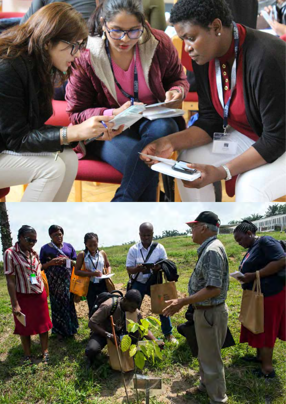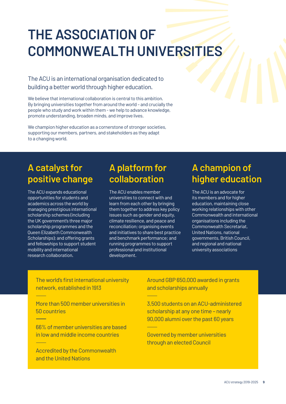# **THE ASSOCIATION OF COMMONWEALTH UNIVERSITIES**

The ACU is an international organisation dedicated to building a better world through higher education.

We believe that international collaboration is central to this ambition. By bringing universities together from around the world – and crucially the people who study and work within them - we help to advance knowledge, promote understanding, broaden minds, and improve lives.

We champion higher education as a cornerstone of stronger societies, supporting our members, partners, and stakeholders as they adapt to a changing world.

## **A catalyst for positive change**

The ACU expands educational opportunities for students and academics across the world by managing prestigious international scholarship schemes (including the UK government's three major scholarship programmes and the Queen Elizabeth Commonwealth Scholarships); and offering grants and fellowships to support student mobility and international research collaboration.

## **A platform for collaboration**

The ACU enables member universities to connect with and learn from each other by bringing them together to address key policy issues such as gender and equity, climate resilience, and peace and reconciliation; organising events and initiatives to share best practice and benchmark performance; and running programmes to support professional and institutional development.

# **A champion of higher education**

The ACU is an advocate for its members and for higher education, maintaining close working relationships with other Commonwealth and international organisations including the Commonwealth Secretariat, United Nations, national governments, British Council, and regional and national university associations

The world's first international university network, established in 1913

More than 500 member universities in 50 countries

66% of member universities are based in low and middle income countries

Accredited by the Commonwealth and the United Nations

Around GBP 650,000 awarded in grants and scholarships annually

3,500 students on an ACU-administered scholarship at any one time – nearly 90,000 alumni over the past 60 years

Governed by member universities through an elected Council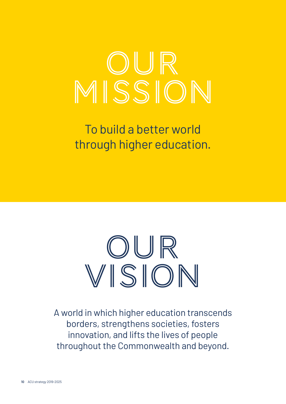

To build a better world through higher education.



A world in which higher education transcends borders, strengthens societies, fosters innovation, and lifts the lives of people throughout the Commonwealth and beyond.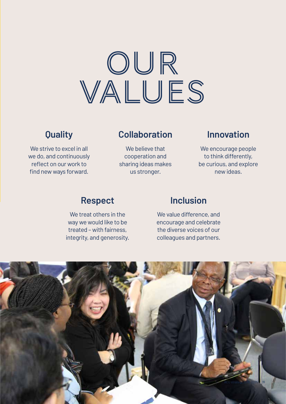

### **Quality**

## **Collaboration**

We strive to excel in all we do, and continuously reflect on our work to find new ways forward.

We believe that cooperation and sharing ideas makes us stronger.

### **Innovation**

We encourage people to think differently, be curious, and explore new ideas.

### **Respect**

We treat others in the way we would like to be treated – with fairness, integrity, and generosity.

## **Inclusion**

We value difference, and encourage and celebrate the diverse voices of our colleagues and partners.

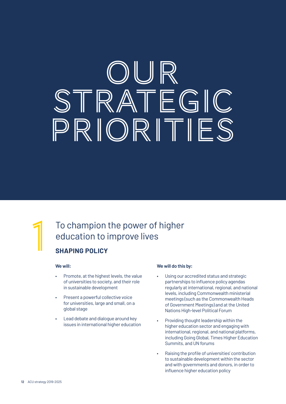# Our RATEGIC RIORITIES

# To champion the power of higher education to improve lives

#### **SHAPING POLICY**

#### **We will:**

- Promote, at the highest levels, the value of universities to society, and their role in sustainable development
- Present a powerful collective voice for universities, large and small, on a global stage
- Lead debate and dialogue around key issues in international higher education

#### **We will do this by:**

- Using our accredited status and strategic partnerships to influence policy agendas regularly at international, regional, and national levels, including Commonwealth ministerial meetings (such as the Commonwealth Heads of Government Meetings) and at the United Nations High-level Political Forum
- Providing thought leadership within the higher education sector and engaging with international, regional, and national platforms, including Going Global, Times Higher Education Summits, and UN forums
- Raising the profile of universities' contribution to sustainable development within the sector and with governments and donors, in order to influence higher education policy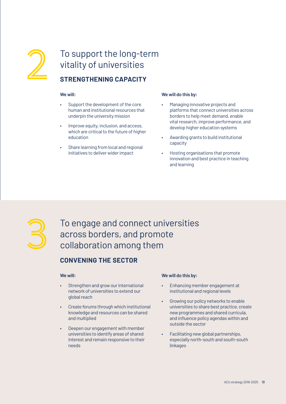

# To support the long-term vitality of universities

#### **STRENGTHENING CAPACITY**

#### **We will:**

- Support the development of the core human and institutional resources that underpin the university mission
- Improve equity, inclusion, and access, which are critical to the future of higher education
- Share learning from local and regional initiatives to deliver wider impact

#### **We will do this by:**

- Managing innovative projects and platforms that connect universities across borders to help meet demand, enable vital research, improve performance, and develop higher education systems
- Awarding grants to build institutional capacity
- Hosting organisations that promote innovation and best practice in teaching and learning



To engage and connect universities across borders, and promote collaboration among them

#### **CONVENING THE SECTOR**

#### **We will:**

- Strengthen and grow our international network of universities to extend our global reach
- Create forums through which institutional knowledge and resources can be shared and multiplied
- Deepen our engagement with member universities to identify areas of shared interest and remain responsive to their needs

#### **We will do this by:**

- Enhancing member engagement at institutional and regional levels
- Growing our policy networks to enable universities to share best practice, create new programmes and shared curricula, and influence policy agendas within and outside the sector
- Facilitating new global partnerships, especially north-south and south-south linkages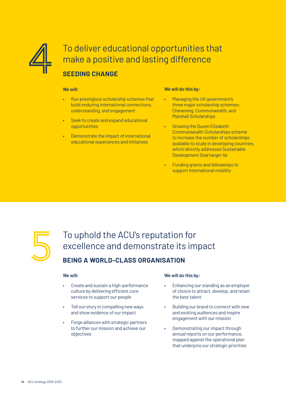

# To deliver educational opportunities that make a positive and lasting difference **SEEDING CHANGE**

#### **We will:**

- Run prestigious scholarship schemes that build enduring international connections, understanding, and engagement
- Seek to create and expand educational opportunities
- Demonstrate the impact of international educational experiences and initiatives

#### **We will do this by:**

- Managing the UK government's three major scholarship schemes: Chevening, Commonwealth, and Marshall Scholarships
- Growing the Queen Elizabeth Commonwealth Scholarships scheme to increase the number of scholarships available to study in developing countries, which directly addresses Sustainable Development Goal target 4b
- Funding grants and fellowships to support international mobility



# To uphold the ACU's reputation for<br>excellence and demonstrate its im<br>BEING A WORLD-CLASS ORGANISATION excellence and demonstrate its impact **BEING A WORLD-CLASS ORGANISATION**

#### **We will:**

- Create and sustain a high-performance culture by delivering efficient core services to support our people
- Tell our story in compelling new ways and show evidence of our impact
- Forge alliances with strategic partners to further our mission and achieve our objectives

#### **We will do this by:**

- Enhancing our standing as an employer of choice to attract, develop, and retain the best talent
- Building our brand to connect with new and existing audiences and inspire engagement with our mission
- Demonstrating our impact through annual reports on our performance, mapped against the operational plan that underpins our strategic priorities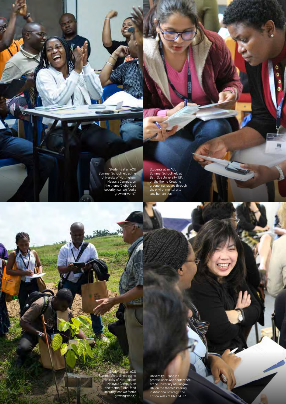Students at an ACU Summer School held at the University of Nottingham Malaysia Campus, on the theme 'Global food security: can we feed a growing world?'

**BALLEY** 

Students at an ACU Summer School held at Bath Spa University, UK, on the theme 'Creating greener narratives through the environmental arts and humanities'

Ò

Students at an ACU Summer School held at the University of Nottingham Malaysia Campus, on the theme 'Global food security: can we feed a growing world?'

University HR and PR professionals at a conference at the University of Glasgow, UK, on the theme 'Steering institutional strategy: the critical roles of HR and PR'